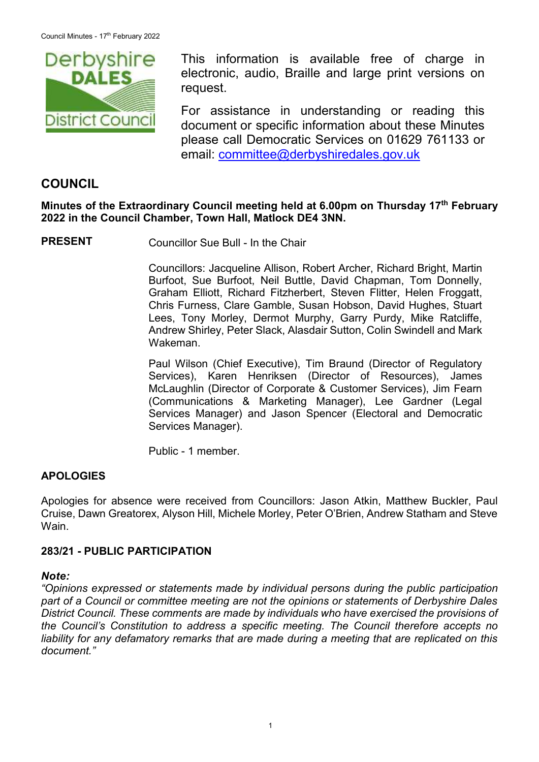

This information is available free of charge in electronic, audio, Braille and large print versions on request.

For assistance in understanding or reading this document or specific information about these Minutes please call Democratic Services on 01629 761133 or email: [committee@derbyshiredales.gov.uk](mailto:brian.evans@derbyshiredales.gov.uk)

# **COUNCIL**

## **Minutes of the Extraordinary Council meeting held at 6.00pm on Thursday 17th February 2022 in the Council Chamber, Town Hall, Matlock DE4 3NN.**

**PRESENT** Councillor Sue Bull - In the Chair

Councillors: Jacqueline Allison, Robert Archer, Richard Bright, Martin Burfoot, Sue Burfoot, Neil Buttle, David Chapman, Tom Donnelly, Graham Elliott, Richard Fitzherbert, Steven Flitter, Helen Froggatt, Chris Furness, Clare Gamble, Susan Hobson, David Hughes, Stuart Lees, Tony Morley, Dermot Murphy, Garry Purdy, Mike Ratcliffe, Andrew Shirley, Peter Slack, Alasdair Sutton, Colin Swindell and Mark Wakeman.

Paul Wilson (Chief Executive), Tim Braund (Director of Regulatory Services), Karen Henriksen (Director of Resources), James McLaughlin (Director of Corporate & Customer Services), Jim Fearn (Communications & Marketing Manager), Lee Gardner (Legal Services Manager) and Jason Spencer (Electoral and Democratic Services Manager).

Public - 1 member.

# **APOLOGIES**

Apologies for absence were received from Councillors: Jason Atkin, Matthew Buckler, Paul Cruise, Dawn Greatorex, Alyson Hill, Michele Morley, Peter O'Brien, Andrew Statham and Steve Wain.

## **283/21 - PUBLIC PARTICIPATION**

#### *Note:*

*"Opinions expressed or statements made by individual persons during the public participation part of a Council or committee meeting are not the opinions or statements of Derbyshire Dales District Council. These comments are made by individuals who have exercised the provisions of the Council's Constitution to address a specific meeting. The Council therefore accepts no liability for any defamatory remarks that are made during a meeting that are replicated on this document."*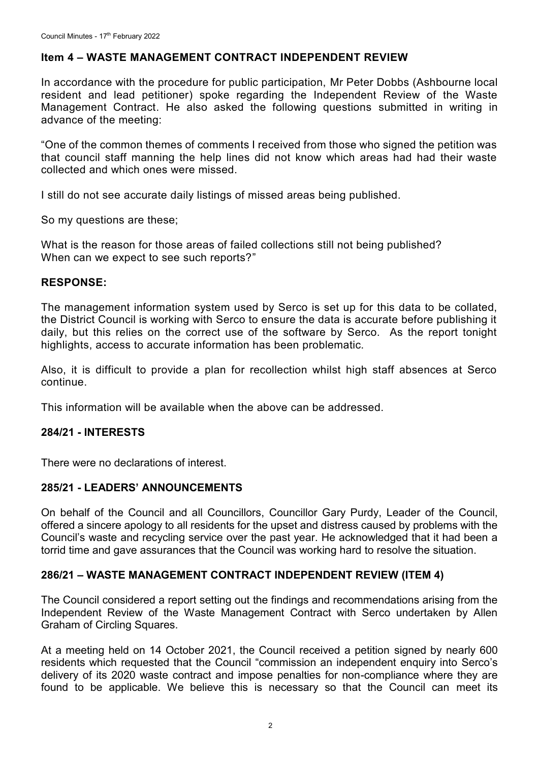## **Item 4 – WASTE MANAGEMENT CONTRACT INDEPENDENT REVIEW**

In accordance with the procedure for public participation, Mr Peter Dobbs (Ashbourne local resident and lead petitioner) spoke regarding the Independent Review of the Waste Management Contract. He also asked the following questions submitted in writing in advance of the meeting:

"One of the common themes of comments I received from those who signed the petition was that council staff manning the help lines did not know which areas had had their waste collected and which ones were missed.

I still do not see accurate daily listings of missed areas being published.

So my questions are these;

What is the reason for those areas of failed collections still not being published? When can we expect to see such reports?"

## **RESPONSE:**

The management information system used by Serco is set up for this data to be collated, the District Council is working with Serco to ensure the data is accurate before publishing it daily, but this relies on the correct use of the software by Serco. As the report tonight highlights, access to accurate information has been problematic.

Also, it is difficult to provide a plan for recollection whilst high staff absences at Serco continue.

This information will be available when the above can be addressed.

## **284/21 - INTERESTS**

There were no declarations of interest.

#### **285/21 - LEADERS' ANNOUNCEMENTS**

On behalf of the Council and all Councillors, Councillor Gary Purdy, Leader of the Council, offered a sincere apology to all residents for the upset and distress caused by problems with the Council's waste and recycling service over the past year. He acknowledged that it had been a torrid time and gave assurances that the Council was working hard to resolve the situation.

## **286/21 – WASTE MANAGEMENT CONTRACT INDEPENDENT REVIEW (ITEM 4)**

The Council considered a report setting out the findings and recommendations arising from the Independent Review of the Waste Management Contract with Serco undertaken by Allen Graham of Circling Squares.

At a meeting held on 14 October 2021, the Council received a petition signed by nearly 600 residents which requested that the Council "commission an independent enquiry into Serco's delivery of its 2020 waste contract and impose penalties for non-compliance where they are found to be applicable. We believe this is necessary so that the Council can meet its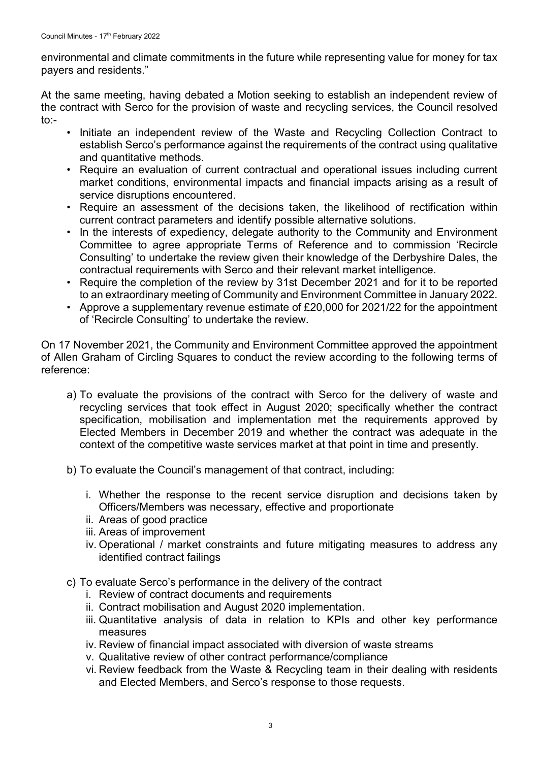environmental and climate commitments in the future while representing value for money for tax payers and residents."

At the same meeting, having debated a Motion seeking to establish an independent review of the contract with Serco for the provision of waste and recycling services, the Council resolved to:-

- Initiate an independent review of the Waste and Recycling Collection Contract to establish Serco's performance against the requirements of the contract using qualitative and quantitative methods.
- Require an evaluation of current contractual and operational issues including current market conditions, environmental impacts and financial impacts arising as a result of service disruptions encountered.
- Require an assessment of the decisions taken, the likelihood of rectification within current contract parameters and identify possible alternative solutions.
- In the interests of expediency, delegate authority to the Community and Environment Committee to agree appropriate Terms of Reference and to commission 'Recircle Consulting' to undertake the review given their knowledge of the Derbyshire Dales, the contractual requirements with Serco and their relevant market intelligence.
- Require the completion of the review by 31st December 2021 and for it to be reported to an extraordinary meeting of Community and Environment Committee in January 2022.
- Approve a supplementary revenue estimate of £20,000 for 2021/22 for the appointment of 'Recircle Consulting' to undertake the review.

On 17 November 2021, the Community and Environment Committee approved the appointment of Allen Graham of Circling Squares to conduct the review according to the following terms of reference:

- a) To evaluate the provisions of the contract with Serco for the delivery of waste and recycling services that took effect in August 2020; specifically whether the contract specification, mobilisation and implementation met the requirements approved by Elected Members in December 2019 and whether the contract was adequate in the context of the competitive waste services market at that point in time and presently.
- b) To evaluate the Council's management of that contract, including:
	- i. Whether the response to the recent service disruption and decisions taken by Officers/Members was necessary, effective and proportionate
	- ii. Areas of good practice
	- iii. Areas of improvement
	- iv. Operational / market constraints and future mitigating measures to address any identified contract failings
- c) To evaluate Serco's performance in the delivery of the contract
	- i. Review of contract documents and requirements
	- ii. Contract mobilisation and August 2020 implementation.
	- iii. Quantitative analysis of data in relation to KPIs and other key performance measures
	- iv. Review of financial impact associated with diversion of waste streams
	- v. Qualitative review of other contract performance/compliance
	- vi. Review feedback from the Waste & Recycling team in their dealing with residents and Elected Members, and Serco's response to those requests.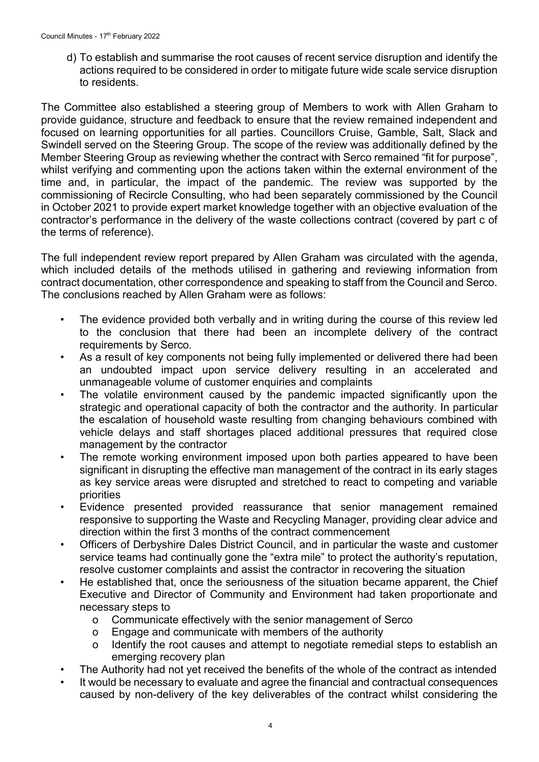d) To establish and summarise the root causes of recent service disruption and identify the actions required to be considered in order to mitigate future wide scale service disruption to residents.

The Committee also established a steering group of Members to work with Allen Graham to provide guidance, structure and feedback to ensure that the review remained independent and focused on learning opportunities for all parties. Councillors Cruise, Gamble, Salt, Slack and Swindell served on the Steering Group. The scope of the review was additionally defined by the Member Steering Group as reviewing whether the contract with Serco remained "fit for purpose", whilst verifying and commenting upon the actions taken within the external environment of the time and, in particular, the impact of the pandemic. The review was supported by the commissioning of Recircle Consulting, who had been separately commissioned by the Council in October 2021 to provide expert market knowledge together with an objective evaluation of the contractor's performance in the delivery of the waste collections contract (covered by part c of the terms of reference).

The full independent review report prepared by Allen Graham was circulated with the agenda, which included details of the methods utilised in gathering and reviewing information from contract documentation, other correspondence and speaking to staff from the Council and Serco. The conclusions reached by Allen Graham were as follows:

- The evidence provided both verbally and in writing during the course of this review led to the conclusion that there had been an incomplete delivery of the contract requirements by Serco.
- As a result of key components not being fully implemented or delivered there had been an undoubted impact upon service delivery resulting in an accelerated and unmanageable volume of customer enquiries and complaints
- The volatile environment caused by the pandemic impacted significantly upon the strategic and operational capacity of both the contractor and the authority. In particular the escalation of household waste resulting from changing behaviours combined with vehicle delays and staff shortages placed additional pressures that required close management by the contractor
- The remote working environment imposed upon both parties appeared to have been significant in disrupting the effective man management of the contract in its early stages as key service areas were disrupted and stretched to react to competing and variable priorities
- Evidence presented provided reassurance that senior management remained responsive to supporting the Waste and Recycling Manager, providing clear advice and direction within the first 3 months of the contract commencement
- Officers of Derbyshire Dales District Council, and in particular the waste and customer service teams had continually gone the "extra mile" to protect the authority's reputation, resolve customer complaints and assist the contractor in recovering the situation
- He established that, once the seriousness of the situation became apparent, the Chief Executive and Director of Community and Environment had taken proportionate and necessary steps to
	- o Communicate effectively with the senior management of Serco
	- o Engage and communicate with members of the authority
	- o Identify the root causes and attempt to negotiate remedial steps to establish an emerging recovery plan
- The Authority had not yet received the benefits of the whole of the contract as intended
- It would be necessary to evaluate and agree the financial and contractual consequences caused by non-delivery of the key deliverables of the contract whilst considering the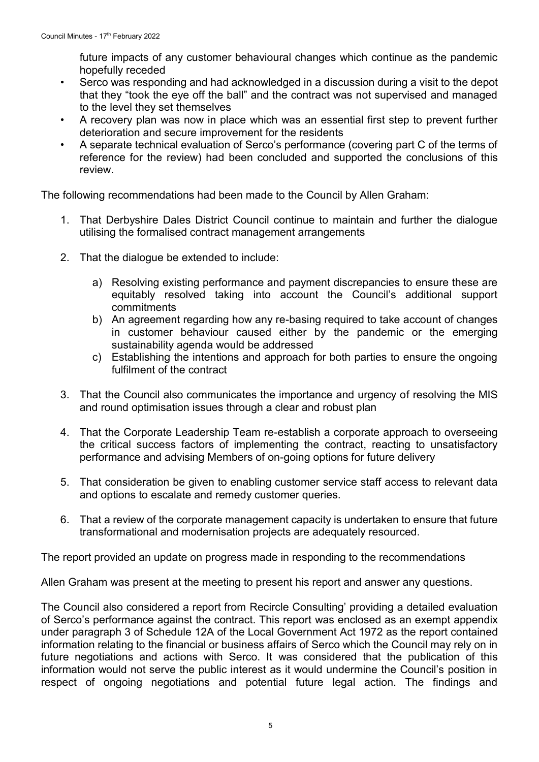future impacts of any customer behavioural changes which continue as the pandemic hopefully receded

- Serco was responding and had acknowledged in a discussion during a visit to the depot that they "took the eye off the ball" and the contract was not supervised and managed to the level they set themselves
- A recovery plan was now in place which was an essential first step to prevent further deterioration and secure improvement for the residents
- A separate technical evaluation of Serco's performance (covering part C of the terms of reference for the review) had been concluded and supported the conclusions of this review.

The following recommendations had been made to the Council by Allen Graham:

- 1. That Derbyshire Dales District Council continue to maintain and further the dialogue utilising the formalised contract management arrangements
- 2. That the dialogue be extended to include:
	- a) Resolving existing performance and payment discrepancies to ensure these are equitably resolved taking into account the Council's additional support commitments
	- b) An agreement regarding how any re-basing required to take account of changes in customer behaviour caused either by the pandemic or the emerging sustainability agenda would be addressed
	- c) Establishing the intentions and approach for both parties to ensure the ongoing fulfilment of the contract
- 3. That the Council also communicates the importance and urgency of resolving the MIS and round optimisation issues through a clear and robust plan
- 4. That the Corporate Leadership Team re-establish a corporate approach to overseeing the critical success factors of implementing the contract, reacting to unsatisfactory performance and advising Members of on-going options for future delivery
- 5. That consideration be given to enabling customer service staff access to relevant data and options to escalate and remedy customer queries.
- 6. That a review of the corporate management capacity is undertaken to ensure that future transformational and modernisation projects are adequately resourced.

The report provided an update on progress made in responding to the recommendations

Allen Graham was present at the meeting to present his report and answer any questions.

The Council also considered a report from Recircle Consulting' providing a detailed evaluation of Serco's performance against the contract. This report was enclosed as an exempt appendix under paragraph 3 of Schedule 12A of the Local Government Act 1972 as the report contained information relating to the financial or business affairs of Serco which the Council may rely on in future negotiations and actions with Serco. It was considered that the publication of this information would not serve the public interest as it would undermine the Council's position in respect of ongoing negotiations and potential future legal action. The findings and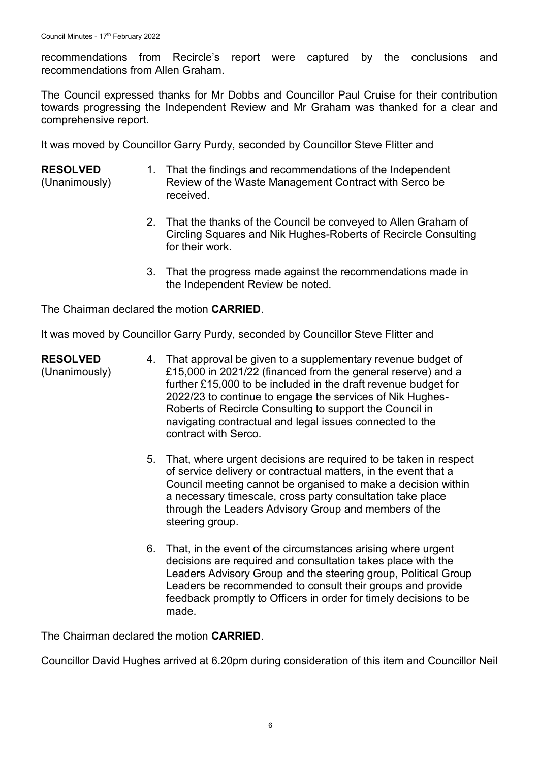recommendations from Recircle's report were captured by the conclusions and recommendations from Allen Graham.

The Council expressed thanks for Mr Dobbs and Councillor Paul Cruise for their contribution towards progressing the Independent Review and Mr Graham was thanked for a clear and comprehensive report.

It was moved by Councillor Garry Purdy, seconded by Councillor Steve Flitter and

#### **RESOLVED** (Unanimously) 1. That the findings and recommendations of the Independent Review of the Waste Management Contract with Serco be received.

- 2. That the thanks of the Council be conveyed to Allen Graham of Circling Squares and Nik Hughes-Roberts of Recircle Consulting for their work.
- 3. That the progress made against the recommendations made in the Independent Review be noted.

The Chairman declared the motion **CARRIED**.

It was moved by Councillor Garry Purdy, seconded by Councillor Steve Flitter and

- **RESOLVED** (Unanimously) 4. That approval be given to a supplementary revenue budget of £15,000 in 2021/22 (financed from the general reserve) and a further £15,000 to be included in the draft revenue budget for 2022/23 to continue to engage the services of Nik Hughes-Roberts of Recircle Consulting to support the Council in navigating contractual and legal issues connected to the contract with Serco.
	- 5. That, where urgent decisions are required to be taken in respect of service delivery or contractual matters, in the event that a Council meeting cannot be organised to make a decision within a necessary timescale, cross party consultation take place through the Leaders Advisory Group and members of the steering group.
	- 6. That, in the event of the circumstances arising where urgent decisions are required and consultation takes place with the Leaders Advisory Group and the steering group, Political Group Leaders be recommended to consult their groups and provide feedback promptly to Officers in order for timely decisions to be made.

The Chairman declared the motion **CARRIED**.

Councillor David Hughes arrived at 6.20pm during consideration of this item and Councillor Neil